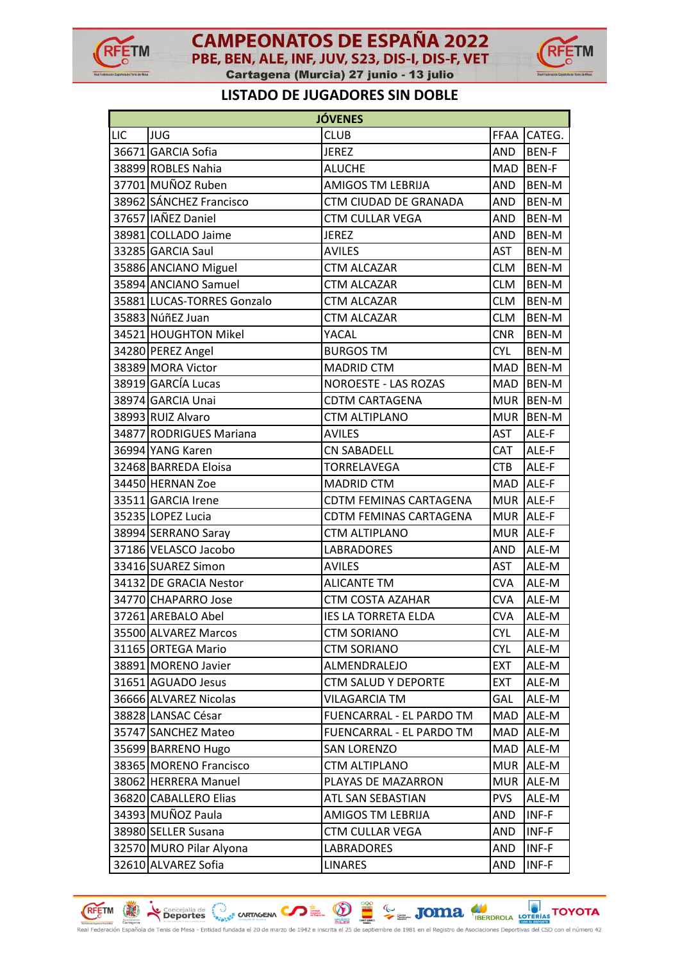



## **LISTADO DE JUGADORES SIN DOBLE**

|     |                            | <b>JÓVENES</b>                |            |              |
|-----|----------------------------|-------------------------------|------------|--------------|
| LIC | <b>JUG</b>                 | <b>CLUB</b>                   |            | FFAA CATEG.  |
|     | 36671 GARCIA Sofia         | JEREZ                         | <b>AND</b> | <b>BEN-F</b> |
|     | 38899 ROBLES Nahia         | <b>ALUCHE</b>                 | MAD        | <b>BEN-F</b> |
|     | 37701 MUÑOZ Ruben          | <b>AMIGOS TM LEBRIJA</b>      | <b>AND</b> | BEN-M        |
|     | 38962 SÁNCHEZ Francisco    | CTM CIUDAD DE GRANADA         | <b>AND</b> | BEN-M        |
|     | 37657 IAÑEZ Daniel         | <b>CTM CULLAR VEGA</b>        | <b>AND</b> | BEN-M        |
|     | 38981 COLLADO Jaime        | <b>JEREZ</b>                  | <b>AND</b> | BEN-M        |
|     | 33285 GARCIA Saul          | <b>AVILES</b>                 | <b>AST</b> | BEN-M        |
|     | 35886 ANCIANO Miguel       | <b>CTM ALCAZAR</b>            | <b>CLM</b> | BEN-M        |
|     | 35894 ANCIANO Samuel       | <b>CTM ALCAZAR</b>            | <b>CLM</b> | BEN-M        |
|     | 35881 LUCAS-TORRES Gonzalo | <b>CTM ALCAZAR</b>            | <b>CLM</b> | BEN-M        |
|     | 35883 NúñEZ Juan           | <b>CTM ALCAZAR</b>            | <b>CLM</b> | BEN-M        |
|     | 34521 HOUGHTON Mikel       | YACAL                         | <b>CNR</b> | BEN-M        |
|     | 34280 PEREZ Angel          | <b>BURGOS TM</b>              | <b>CYL</b> | BEN-M        |
|     | 38389 MORA Victor          | <b>MADRID CTM</b>             | <b>MAD</b> | <b>BEN-M</b> |
|     | 38919 GARCÍA Lucas         | <b>NOROESTE - LAS ROZAS</b>   | MAD        | <b>BEN-M</b> |
|     | 38974 GARCIA Unai          | <b>CDTM CARTAGENA</b>         | <b>MUR</b> | <b>BEN-M</b> |
|     | 38993 RUIZ Alvaro          | <b>CTM ALTIPLANO</b>          |            | MUR BEN-M    |
|     | 34877 RODRIGUES Mariana    | <b>AVILES</b>                 | <b>AST</b> | ALE-F        |
|     | 36994 YANG Karen           | <b>CN SABADELL</b>            | CAT        | ALE-F        |
|     | 32468 BARREDA Eloisa       | TORRELAVEGA                   | <b>CTB</b> | ALE-F        |
|     | 34450 HERNAN Zoe           | <b>MADRID CTM</b>             | MAD        | ALE-F        |
|     | 33511 GARCIA Irene         | <b>CDTM FEMINAS CARTAGENA</b> |            | MUR ALE-F    |
|     | 35235 LOPEZ Lucia          | CDTM FEMINAS CARTAGENA        |            | MUR ALE-F    |
|     | 38994 SERRANO Saray        | <b>CTM ALTIPLANO</b>          |            | MUR ALE-F    |
|     | 37186 VELASCO Jacobo       | <b>LABRADORES</b>             | AND        | ALE-M        |
|     | 33416 SUAREZ Simon         | <b>AVILES</b>                 | <b>AST</b> | ALE-M        |
|     | 34132 DE GRACIA Nestor     | <b>ALICANTE TM</b>            | <b>CVA</b> | ALE-M        |
|     | 34770 CHAPARRO Jose        | <b>CTM COSTA AZAHAR</b>       | <b>CVA</b> | ALE-M        |
|     | 37261 AREBALO Abel         | <b>IES LA TORRETA ELDA</b>    | <b>CVA</b> | ALE-M        |
|     | 35500 ALVAREZ Marcos       | <b>CTM SORIANO</b>            | <b>CYL</b> | ALE-M        |
|     | 31165 ORTEGA Mario         | <b>CTM SORIANO</b>            | <b>CYL</b> | ALE-M        |
|     | 38891 MORENO Javier        | ALMENDRALEJO                  | <b>EXT</b> | ALE-M        |
|     | 31651 AGUADO Jesus         | <b>CTM SALUD Y DEPORTE</b>    | <b>EXT</b> | ALE-M        |
|     | 36666 ALVAREZ Nicolas      | <b>VILAGARCIA TM</b>          | <b>GAL</b> | ALE-M        |
|     | 38828 LANSAC César         | FUENCARRAL - EL PARDO TM      | MAD        | ALE-M        |
|     | 35747 SANCHEZ Mateo        | FUENCARRAL - EL PARDO TM      | <b>MAD</b> | ALE-M        |
|     | 35699 BARRENO Hugo         | <b>SAN LORENZO</b>            | MAD        | ALE-M        |
|     | 38365 MORENO Francisco     | CTM ALTIPLANO                 | <b>MUR</b> | ALE-M        |
|     | 38062 HERRERA Manuel       | PLAYAS DE MAZARRON            | <b>MUR</b> | ALE-M        |
|     | 36820 CABALLERO Elias      | ATL SAN SEBASTIAN             | <b>PVS</b> | ALE-M        |
|     | 34393 MUÑOZ Paula          | AMIGOS TM LEBRIJA             | AND        | INF-F        |
|     | 38980 SELLER Susana        | CTM CULLAR VEGA               | AND        | INF-F        |
|     | 32570 MURO Pilar Alyona    | LABRADORES                    | <b>AND</b> | $INF-F$      |
|     | 32610 ALVAREZ Sofia        | LINARES                       | <b>AND</b> | INF-F        |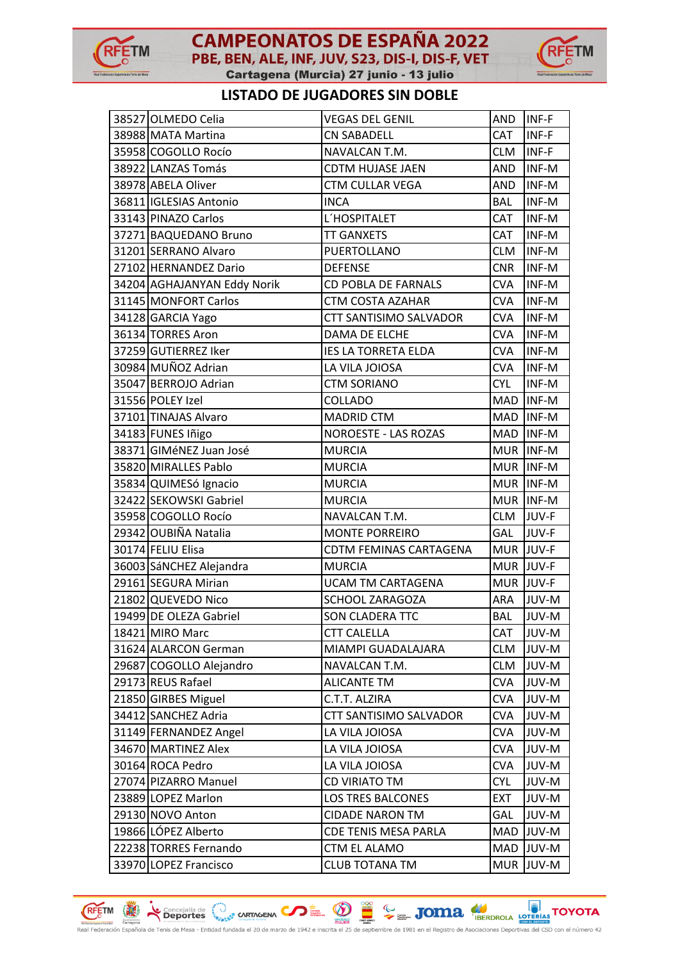

## **CAMPEONATOS DE ESPAÑA 2022** PBE, BEN, ALE, INF, JUV, S23, DIS-I, DIS-F, VET





### **LISTADO DE JUGADORES SIN DOBLE**

| 38527 OLMEDO Celia          | <b>VEGAS DEL GENIL</b>      | AND        | <b>INF-F</b> |
|-----------------------------|-----------------------------|------------|--------------|
| 38988 MATA Martina          | <b>CN SABADELL</b>          | CAT        | INF-F        |
| 35958 COGOLLO Rocío         | NAVALCAN T.M.               | <b>CLM</b> | INF-F        |
| 38922 LANZAS Tomás          | <b>CDTM HUJASE JAEN</b>     | <b>AND</b> | INF-M        |
| 38978 ABELA Oliver          | CTM CULLAR VEGA             | AND        | INF-M        |
| 36811 IGLESIAS Antonio      | <b>INCA</b>                 | <b>BAL</b> | INF-M        |
| 33143 PINAZO Carlos         | L'HOSPITALET                | CAT        | INF-M        |
| 37271 BAQUEDANO Bruno       | <b>TT GANXETS</b>           | CAT        | INF-M        |
| 31201 SERRANO Alvaro        | PUERTOLLANO                 | <b>CLM</b> | INF-M        |
| 27102 HERNANDEZ Dario       | <b>DEFENSE</b>              | <b>CNR</b> | INF-M        |
| 34204 AGHAJANYAN Eddy Norik | <b>CD POBLA DE FARNALS</b>  | <b>CVA</b> | INF-M        |
| 31145 MONFORT Carlos        | CTM COSTA AZAHAR            | <b>CVA</b> | INF-M        |
| 34128 GARCIA Yago           | CTT SANTISIMO SALVADOR      | <b>CVA</b> | INF-M        |
| 36134 TORRES Aron           | DAMA DE ELCHE               | <b>CVA</b> | INF-M        |
| 37259 GUTIERREZ Iker        | <b>IES LA TORRETA ELDA</b>  | <b>CVA</b> | INF-M        |
| 30984 MUÑOZ Adrian          | LA VILA JOIOSA              | <b>CVA</b> | INF-M        |
| 35047 BERROJO Adrian        | <b>CTM SORIANO</b>          | <b>CYL</b> | INF-M        |
| 31556 POLEY Izel            | COLLADO                     | MAD        | INF-M        |
| 37101 TINAJAS Alvaro        | <b>MADRID CTM</b>           | MAD        | INF-M        |
| 34183 FUNES Iñigo           | <b>NOROESTE - LAS ROZAS</b> | MAD        | INF-M        |
| 38371 GIMéNEZ Juan José     | <b>MURCIA</b>               | <b>MUR</b> | INF-M        |
| 35820 MIRALLES Pablo        | <b>MURCIA</b>               |            | MUR INF-M    |
| 35834 QUIMESó Ignacio       | <b>MURCIA</b>               |            | MUR INF-M    |
| 32422 SEKOWSKI Gabriel      | <b>MURCIA</b>               |            | MUR INF-M    |
| 35958 COGOLLO Rocío         | NAVALCAN T.M.               | <b>CLM</b> | JUV-F        |
| 29342 OUBIÑA Natalia        | <b>MONTE PORREIRO</b>       | GAL        | JUV-F        |
| 30174 FELIU Elisa           | CDTM FEMINAS CARTAGENA      | <b>MUR</b> | JUV-F        |
| 36003 SáNCHEZ Alejandra     | <b>MURCIA</b>               | <b>MUR</b> | JUV-F        |
| 29161 SEGURA Mirian         | UCAM TM CARTAGENA           |            | MUR JUV-F    |
| 21802 QUEVEDO Nico          | SCHOOL ZARAGOZA             | ARA        | JUV-M        |
| 19499 DE OLEZA Gabriel      | SON CLADERA TTC             | <b>BAL</b> | JUV-M        |
| 18421 MIRO Marc             | <b>CTT CALELLA</b>          | CAT        | JUV-M        |
| 31624 ALARCON German        | MIAMPI GUADALAJARA          | <b>CLM</b> | JUV-M        |
| 29687 COGOLLO Alejandro     | NAVALCAN T.M.               | <b>CLM</b> | JUV-M        |
| 29173 REUS Rafael           | <b>ALICANTE TM</b>          | <b>CVA</b> | JUV-M        |
| 21850 GIRBES Miguel         | C.T.T. ALZIRA               | <b>CVA</b> | JUV-M        |
| 34412 SANCHEZ Adria         | CTT SANTISIMO SALVADOR      | <b>CVA</b> | JUV-M        |
| 31149 FERNANDEZ Angel       | LA VILA JOIOSA              | <b>CVA</b> | JUV-M        |
| 34670 MARTINEZ Alex         | LA VILA JOIOSA              | <b>CVA</b> | JUV-M        |
| 30164 ROCA Pedro            | LA VILA JOIOSA              | <b>CVA</b> | JUV-M        |
| 27074 PIZARRO Manuel        | CD VIRIATO TM               | <b>CYL</b> | JUV-M        |
| 23889 LOPEZ Marlon          | <b>LOS TRES BALCONES</b>    | <b>EXT</b> | JUV-M        |
| 29130 NOVO Anton            | <b>CIDADE NARON TM</b>      | GAL        | JUV-M        |
| 19866 LÓPEZ Alberto         | <b>CDE TENIS MESA PARLA</b> | MAD        | JUV-M        |
| 22238 TORRES Fernando       | CTM EL ALAMO                | MAD        | JUV-M        |
| 33970 LOPEZ Francisco       | <b>CLUB TOTANA TM</b>       | <b>MUR</b> | JUV-M        |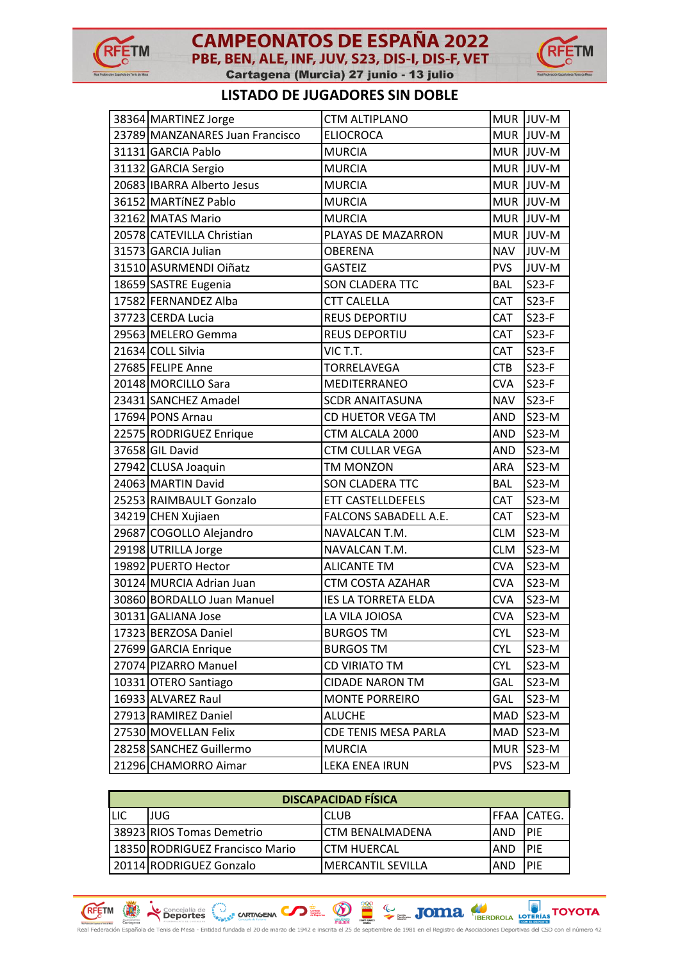

# **CAMPEONATOS DE ESPAÑA 2022** PBE, BEN, ALE, INF, JUV, S23, DIS-I, DIS-F, VET



Cartagena (Murcia) 27 junio - 13 julio

## **LISTADO DE JUGADORES SIN DOBLE**

| 38364 MARTINEZ Jorge            | <b>CTM ALTIPLANO</b>        |            | MUR JUV-M |
|---------------------------------|-----------------------------|------------|-----------|
| 23789 MANZANARES Juan Francisco | <b>ELIOCROCA</b>            |            | MUR JUV-M |
| 31131 GARCIA Pablo              | <b>MURCIA</b>               |            | MUR JUV-M |
| 31132 GARCIA Sergio             | <b>MURCIA</b>               | <b>MUR</b> | JUV-M     |
| 20683 IBARRA Alberto Jesus      | <b>MURCIA</b>               |            | MUR JUV-M |
| 36152 MARTÍNEZ Pablo            | <b>MURCIA</b>               |            | MUR JUV-M |
| 32162 MATAS Mario               | <b>MURCIA</b>               |            | MUR JUV-M |
| 20578 CATEVILLA Christian       | PLAYAS DE MAZARRON          |            | MUR JUV-M |
| 31573 GARCIA Julian             | <b>OBERENA</b>              | <b>NAV</b> | JUV-M     |
| 31510 ASURMENDI Oiñatz          | <b>GASTEIZ</b>              | <b>PVS</b> | JUV-M     |
| 18659 SASTRE Eugenia            | <b>SON CLADERA TTC</b>      | <b>BAL</b> | $S23-F$   |
| 17582 FERNANDEZ Alba            | <b>CTT CALELLA</b>          | CAT        | $S23-F$   |
| 37723 CERDA Lucia               | REUS DEPORTIU               | <b>CAT</b> | $S23-F$   |
| 29563 MELERO Gemma              | REUS DEPORTIU               | CAT        | $S23-F$   |
| 21634 COLL Silvia               | VIC T.T.                    | <b>CAT</b> | $S23-F$   |
| 27685 FELIPE Anne               | <b>TORRELAVEGA</b>          | <b>CTB</b> | $S23-F$   |
| 20148 MORCILLO Sara             | MEDITERRANEO                | <b>CVA</b> | $S23-F$   |
| 23431 SANCHEZ Amadel            | <b>SCDR ANAITASUNA</b>      | <b>NAV</b> | $S23-F$   |
| 17694 PONS Arnau                | CD HUETOR VEGA TM           | <b>AND</b> | S23-M     |
| 22575 RODRIGUEZ Enrique         | CTM ALCALA 2000             | <b>AND</b> | S23-M     |
| 37658 GIL David                 | CTM CULLAR VEGA             | <b>AND</b> | S23-M     |
| 27942 CLUSA Joaquin             | TM MONZON                   | ARA        | S23-M     |
| 24063 MARTIN David              | <b>SON CLADERA TTC</b>      | <b>BAL</b> | $S23-M$   |
| 25253 RAIMBAULT Gonzalo         | ETT CASTELLDEFELS           | CAT        | S23-M     |
| 34219 CHEN Xujiaen              | FALCONS SABADELL A.E.       | <b>CAT</b> | S23-M     |
| 29687 COGOLLO Alejandro         | NAVALCAN T.M.               | <b>CLM</b> | S23-M     |
| 29198 UTRILLA Jorge             | NAVALCAN T.M.               | <b>CLM</b> | S23-M     |
| 19892 PUERTO Hector             | <b>ALICANTE TM</b>          | <b>CVA</b> | S23-M     |
| 30124 MURCIA Adrian Juan        | <b>CTM COSTA AZAHAR</b>     | <b>CVA</b> | S23-M     |
| 30860 BORDALLO Juan Manuel      | <b>IES LA TORRETA ELDA</b>  | <b>CVA</b> | $S23-M$   |
| 30131 GALIANA Jose              | LA VILA JOIOSA              | <b>CVA</b> | S23-M     |
| 17323 BERZOSA Daniel            | <b>BURGOS TM</b>            | <b>CYL</b> | S23-M     |
| 27699 GARCIA Enrique            | <b>BURGOS TM</b>            | <b>CYL</b> | S23-M     |
| 27074 PIZARRO Manuel            | CD VIRIATO TM               | <b>CYL</b> | S23-M     |
| 10331 OTERO Santiago            | <b>CIDADE NARON TM</b>      | <b>GAL</b> | S23-M     |
| 16933 ALVAREZ Raul              | <b>MONTE PORREIRO</b>       | <b>GAL</b> | S23-M     |
| 27913 RAMIREZ Daniel            | <b>ALUCHE</b>               | <b>MAD</b> | S23-M     |
| 27530 MOVELLAN Felix            | <b>CDE TENIS MESA PARLA</b> | <b>MAD</b> | S23-M     |
| 28258 SANCHEZ Guillermo         | <b>MURCIA</b>               | <b>MUR</b> | $S23-M$   |
| 21296 CHAMORRO Aimar            | LEKA ENEA IRUN              | <b>PVS</b> | S23-M     |

| <b>DISCAPACIDAD FÍSICA</b> |                                 |                            |      |                     |  |
|----------------------------|---------------------------------|----------------------------|------|---------------------|--|
| LIC                        | JUG                             | ICLUB                      |      | <b>IFFAA CATEG.</b> |  |
|                            | 38923 RIOS Tomas Demetrio       | ICTM BENALMADENA           | IAND | <b>PIF</b>          |  |
|                            | 18350 RODRIGUEZ Francisco Mario | <b>ICTM HUERCAL</b>        | IAND | <b>PIF</b>          |  |
|                            | 20114 RODRIGUEZ Gonzalo         | <b>I</b> MERCANTIL SEVILLA | AND  | <b>PIF</b>          |  |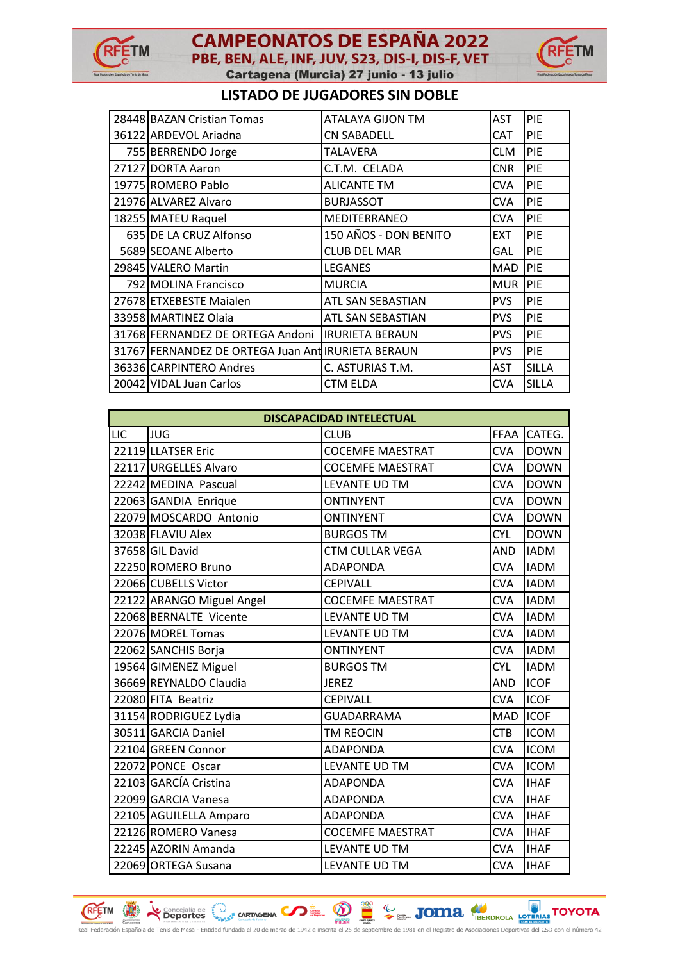



## **LISTADO DE JUGADORES SIN DOBLE**

| 28448 BAZAN Cristian Tomas                         | ATALAYA GIJON TM       | <b>AST</b> | PIE          |
|----------------------------------------------------|------------------------|------------|--------------|
| 36122 ARDEVOL Ariadna                              | <b>CN SABADELL</b>     | <b>CAT</b> | <b>PIE</b>   |
| 755 BERRENDO Jorge                                 | TALAVERA               | <b>CLM</b> | PIE          |
| 27127 DORTA Aaron                                  | C.T.M. CELADA          | <b>CNR</b> | <b>PIE</b>   |
| 19775 ROMERO Pablo                                 | <b>ALICANTE TM</b>     | <b>CVA</b> | <b>PIE</b>   |
| 21976 ALVAREZ Alvaro                               | <b>BURJASSOT</b>       | <b>CVA</b> | PIE          |
| 18255 MATEU Raquel                                 | MEDITERRANEO           | <b>CVA</b> | PIE          |
| 635 DE LA CRUZ Alfonso                             | 150 AÑOS - DON BENITO  | <b>EXT</b> | <b>PIE</b>   |
| 5689 SEOANE Alberto                                | <b>CLUB DEL MAR</b>    | GAL        | <b>PIE</b>   |
| 29845 VALERO Martin                                | <b>LEGANES</b>         | <b>MAD</b> | <b>PIE</b>   |
| 792 MOLINA Francisco                               | <b>MURCIA</b>          | <b>MUR</b> | PIE          |
| 27678 ETXEBESTE Maialen                            | ATL SAN SEBASTIAN      | <b>PVS</b> | PIE          |
| 33958 MARTINEZ Olaia                               | ATL SAN SEBASTIAN      | <b>PVS</b> | PIE          |
| 31768 FERNANDEZ DE ORTEGA Andoni                   | <b>IRURIETA BERAUN</b> | <b>PVS</b> | PIE          |
| 31767 FERNANDEZ DE ORTEGA Juan Ant IRURIETA BERAUN |                        | <b>PVS</b> | <b>PIE</b>   |
| 36336 CARPINTERO Andres                            | C. ASTURIAS T.M.       | <b>AST</b> | <b>SILLA</b> |
| 20042 VIDAL Juan Carlos                            | <b>CTM ELDA</b>        | <b>CVA</b> | <b>SILLA</b> |

|     | <b>DISCAPACIDAD INTELECTUAL</b> |                         |            |             |  |  |
|-----|---------------------------------|-------------------------|------------|-------------|--|--|
| LIC | <b>JUG</b>                      | <b>CLUB</b>             | FFAA       | CATEG.      |  |  |
|     | 22119 LLATSER Eric              | <b>COCEMFE MAESTRAT</b> | <b>CVA</b> | <b>DOWN</b> |  |  |
|     | 22117 URGELLES Alvaro           | <b>COCEMFE MAESTRAT</b> | <b>CVA</b> | <b>DOWN</b> |  |  |
|     | 22242 MEDINA Pascual            | LEVANTE UD TM           | <b>CVA</b> | <b>DOWN</b> |  |  |
|     | 22063 GANDIA Enrique            | <b>ONTINYENT</b>        | <b>CVA</b> | <b>DOWN</b> |  |  |
|     | 22079 MOSCARDO Antonio          | <b>ONTINYENT</b>        | <b>CVA</b> | <b>DOWN</b> |  |  |
|     | 32038 FLAVIU Alex               | <b>BURGOS TM</b>        | <b>CYL</b> | <b>DOWN</b> |  |  |
|     | 37658 GIL David                 | <b>CTM CULLAR VEGA</b>  | AND        | <b>IADM</b> |  |  |
|     | 22250 ROMERO Bruno              | <b>ADAPONDA</b>         | <b>CVA</b> | <b>IADM</b> |  |  |
|     | 22066 CUBELLS Victor            | <b>CEPIVALL</b>         | <b>CVA</b> | <b>IADM</b> |  |  |
|     | 22122 ARANGO Miguel Angel       | <b>COCEMFE MAESTRAT</b> | <b>CVA</b> | <b>IADM</b> |  |  |
|     | 22068 BERNALTE Vicente          | LEVANTE UD TM           | <b>CVA</b> | <b>IADM</b> |  |  |
|     | 22076 MOREL Tomas               | LEVANTE UD TM           | <b>CVA</b> | <b>IADM</b> |  |  |
|     | 22062 SANCHIS Borja             | <b>ONTINYENT</b>        | <b>CVA</b> | <b>IADM</b> |  |  |
|     | 19564 GIMENEZ Miguel            | <b>BURGOS TM</b>        | <b>CYL</b> | <b>IADM</b> |  |  |
|     | 36669 REYNALDO Claudia          | <b>JEREZ</b>            | AND        | <b>ICOF</b> |  |  |
|     | 22080 FITA Beatriz              | <b>CEPIVALL</b>         | <b>CVA</b> | <b>ICOF</b> |  |  |
|     | 31154 RODRIGUEZ Lydia           | <b>GUADARRAMA</b>       | <b>MAD</b> | <b>ICOF</b> |  |  |
|     | 30511 GARCIA Daniel             | <b>TM REOCIN</b>        | <b>CTB</b> | <b>ICOM</b> |  |  |
|     | 22104 GREEN Connor              | <b>ADAPONDA</b>         | <b>CVA</b> | <b>ICOM</b> |  |  |
|     | 22072 PONCE Oscar               | LEVANTE UD TM           | <b>CVA</b> | <b>ICOM</b> |  |  |
|     | 22103 GARCÍA Cristina           | ADAPONDA                | <b>CVA</b> | <b>IHAF</b> |  |  |
|     | 22099 GARCIA Vanesa             | <b>ADAPONDA</b>         | <b>CVA</b> | <b>IHAF</b> |  |  |
|     | 22105 AGUILELLA Amparo          | <b>ADAPONDA</b>         | <b>CVA</b> | <b>IHAF</b> |  |  |
|     | 22126 ROMERO Vanesa             | <b>COCEMFE MAESTRAT</b> | <b>CVA</b> | <b>IHAF</b> |  |  |
|     | 22245 AZORIN Amanda             | LEVANTE UD TM           | <b>CVA</b> | <b>IHAF</b> |  |  |
|     | 22069 ORTEGA Susana             | LEVANTE UD TM           | <b>CVA</b> | <b>IHAF</b> |  |  |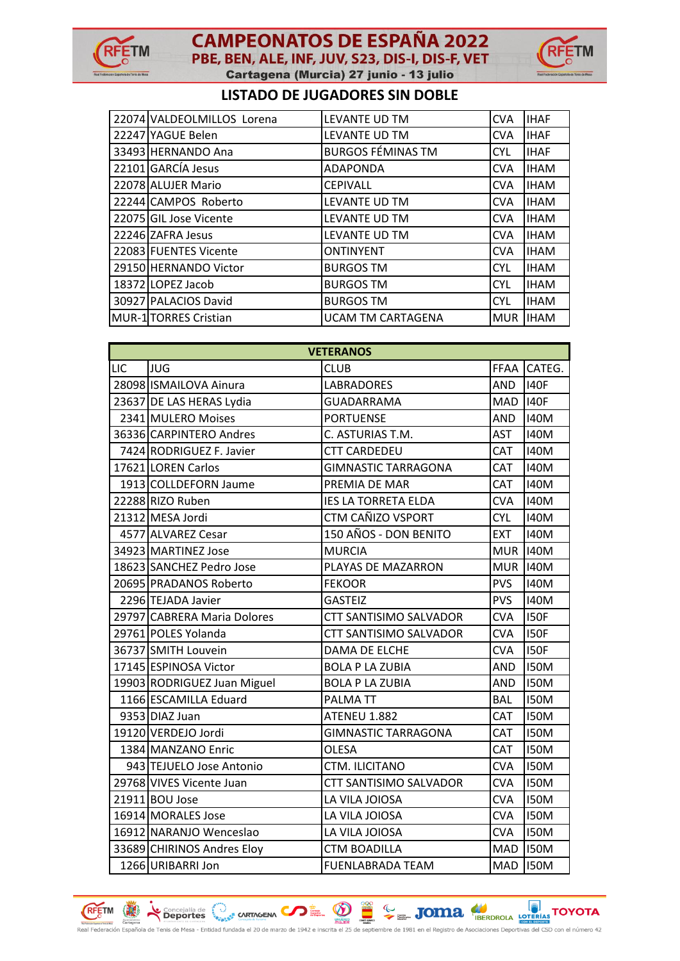



## **LISTADO DE JUGADORES SIN DOBLE**

| 22074 VALDEOLMILLOS Lorena   | LEVANTE UD TM            | <b>CVA</b> | <b>IHAF</b> |
|------------------------------|--------------------------|------------|-------------|
| 22247 YAGUE Belen            | LEVANTE UD TM            | <b>CVA</b> | <b>IHAF</b> |
| 33493 HERNANDO Ana           | <b>BURGOS FÉMINAS TM</b> | <b>CYL</b> | <b>IHAF</b> |
| 22101 GARCÍA Jesus           | <b>ADAPONDA</b>          | <b>CVA</b> | <b>IHAM</b> |
| 22078 ALUJER Mario           | <b>CEPIVALL</b>          | <b>CVA</b> | <b>IHAM</b> |
| 22244 CAMPOS Roberto         | LEVANTE UD TM            | <b>CVA</b> | <b>IHAM</b> |
| 22075 GIL Jose Vicente       | LEVANTE UD TM            | <b>CVA</b> | <b>IHAM</b> |
| 22246 ZAFRA Jesus            | LEVANTE UD TM            | <b>CVA</b> | <b>IHAM</b> |
| 22083 FUENTES Vicente        | <b>ONTINYENT</b>         | <b>CVA</b> | <b>IHAM</b> |
| 29150 HERNANDO Victor        | <b>BURGOS TM</b>         | <b>CYL</b> | <b>IHAM</b> |
| 18372 LOPEZ Jacob            | <b>BURGOS TM</b>         | <b>CYL</b> | <b>IHAM</b> |
| 30927 PALACIOS David         | <b>BURGOS TM</b>         | <b>CYL</b> | <b>IHAM</b> |
| <b>MUR-1</b> TORRES Cristian | <b>UCAM TM CARTAGENA</b> | <b>MUR</b> | <b>IHAM</b> |

| <b>VETERANOS</b> |                             |                            |                 |             |  |
|------------------|-----------------------------|----------------------------|-----------------|-------------|--|
| LIC              | <b>JUG</b>                  | <b>CLUB</b>                | FFAA            | CATEG.      |  |
|                  | 28098 ISMAILOVA Ainura      | <b>LABRADORES</b>          | <b>AND</b>      | <b>I40F</b> |  |
|                  | 23637 DE LAS HERAS Lydia    | <b>GUADARRAMA</b>          | <b>MAD</b>      | <b>I40F</b> |  |
|                  | 2341 MULERO Moises          | <b>PORTUENSE</b>           | <b>AND</b>      | <b>I40M</b> |  |
|                  | 36336 CARPINTERO Andres     | C. ASTURIAS T.M.           | <b>AST</b>      | <b>I40M</b> |  |
|                  | 7424 RODRIGUEZ F. Javier    | <b>CTT CARDEDEU</b>        | CAT             | <b>I40M</b> |  |
|                  | 17621 LOREN Carlos          | <b>GIMNASTIC TARRAGONA</b> | CAT             | <b>I40M</b> |  |
|                  | 1913 COLLDEFORN Jaume       | PREMIA DE MAR              | CAT             | <b>I40M</b> |  |
|                  | 22288 RIZO Ruben            | <b>IES LA TORRETA ELDA</b> | <b>CVA</b>      | <b>I40M</b> |  |
|                  | 21312 MESA Jordi            | CTM CAÑIZO VSPORT          | <b>CYL</b>      | <b>I40M</b> |  |
|                  | 4577 ALVAREZ Cesar          | 150 AÑOS - DON BENITO      | <b>EXT</b>      | <b>I40M</b> |  |
|                  | 34923 MARTINEZ Jose         | <b>MURCIA</b>              | <b>MUR</b>      | <b>I40M</b> |  |
|                  | 18623 SANCHEZ Pedro Jose    | PLAYAS DE MAZARRON         | <b>MUR 140M</b> |             |  |
|                  | 20695 PRADANOS Roberto      | <b>FEKOOR</b>              | <b>PVS</b>      | <b>I40M</b> |  |
|                  | 2296 TEJADA Javier          | <b>GASTEIZ</b>             | <b>PVS</b>      | <b>I40M</b> |  |
|                  | 29797 CABRERA Maria Dolores | CTT SANTISIMO SALVADOR     | <b>CVA</b>      | <b>I50F</b> |  |
|                  | 29761 POLES Yolanda         | CTT SANTISIMO SALVADOR     | <b>CVA</b>      | <b>I50F</b> |  |
|                  | 36737 SMITH Louvein         | DAMA DE ELCHE              | <b>CVA</b>      | <b>I50F</b> |  |
|                  | 17145 ESPINOSA Victor       | <b>BOLA P LA ZUBIA</b>     | <b>AND</b>      | <b>I50M</b> |  |
|                  | 19903 RODRIGUEZ Juan Miguel | <b>BOLA P LA ZUBIA</b>     | <b>AND</b>      | <b>I50M</b> |  |
|                  | 1166 ESCAMILLA Eduard       | <b>PALMATT</b>             | <b>BAL</b>      | <b>I50M</b> |  |
|                  | 9353 DIAZ Juan              | ATENEU 1.882               | CAT             | <b>I50M</b> |  |
|                  | 19120 VERDEJO Jordi         | <b>GIMNASTIC TARRAGONA</b> | CAT             | <b>I50M</b> |  |
|                  | 1384 MANZANO Enric          | <b>OLESA</b>               | CAT             | <b>I50M</b> |  |
|                  | 943 TEJUELO Jose Antonio    | CTM. ILICITANO             | <b>CVA</b>      | <b>I50M</b> |  |
|                  | 29768 VIVES Vicente Juan    | CTT SANTISIMO SALVADOR     | <b>CVA</b>      | <b>I50M</b> |  |
|                  | 21911 BOU Jose              | LA VILA JOIOSA             | <b>CVA</b>      | <b>I50M</b> |  |
|                  | 16914 MORALES Jose          | LA VILA JOIOSA             | <b>CVA</b>      | <b>I50M</b> |  |
|                  | 16912 NARANJO Wenceslao     | LA VILA JOIOSA             | <b>CVA</b>      | <b>I50M</b> |  |
|                  | 33689 CHIRINOS Andres Eloy  | <b>CTM BOADILLA</b>        | <b>MAD</b>      | <b>I50M</b> |  |
|                  | 1266 URIBARRI Jon           | <b>FUENLABRADA TEAM</b>    | <b>MAD</b>      | <b>I50M</b> |  |